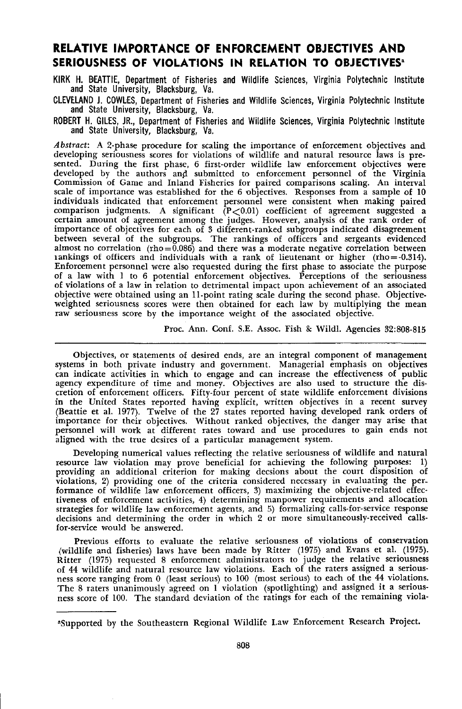# **RELATIVE IMPORTANCE OF ENFORCEMENT OBJECTIVES AND SERIOUSNESS OF VIOLATIONS IN RELATION TO OBJECTIVES'**

KIRK H. BEATTIE, Department of Fisheries and Wildlife Sciences, Virginia Polytechnic Institute and State University, Blacksburg, Va.

CLEVELAND J. COWLES, Department of Fisheries and Wildlife Sciences, Virginia Polytechnic Institute and State University, Blacksburg, Va.

ROBERT H. GILES, JR., Department of Fisheries and Wildlife Sciences, Virginia Polytechnic Institute and State University, Blacksburg, Va.

*Abstract:* A 2-phase procedure for scaling the importance of enforcement objectives and developing seriousness scores for violations of wildlife and natural resource laws is presented. During the first phase, 6 first-order wildlife law enforcement objectives were developed by the authors and submitted to enforcement personnel of the Virginia Commission of Game and Inland Fisheries for paired comparisons scaling. An interval scale of importance was established for the 6 objectives. Responses from a sample of 10 individuals indicated that enforcement personnel were consistent when making paired comparison judgments. A significant  $( P < 0.01)$  coefficient of agreement suggested a certain amount of agreement among the judges. However, analysis of the rank order of importance of objectives for each of 3 different-ranked subgroups indicated disagreement between several of the subgroups. The rankings of officers and sergeants evidenced almost no correlation (rho= $\overline{0.086}$ ) and there was a moderate negative correlation between iankings of officers and individuals with a rank of lieutenant or higher (rho= $-0.314$ ). Enforcement personnel were also requested during the first phase to associate the purpose of a law with I to 6 potential enforcement objectives. Peroeptions of the seriousness of violations of a law in relation to detrimental impact upon achievement of an associated objective were obtained using an ll-point rating scale during the second phase. Objectiveweighted seriousness scores were then obtained for each law by multiplying the mean raw seriousness score by the importance weight of the associated objective.

Proc. Ann. Conf. S.E. Assoc. Fish & Wildl. Agencies 32:808-815

Objectives, or statements of desired ends, are an integral component of management systems in both private industry and government. Managerial emphasis on objectives can indicate activities in which to engage and can increase the effectiveness of public agency expenditure of time and money. Objectives are also used to structure the discretion of enforcement officers. Fifty-four percent of state wildlife enforcement divisions in the United States reported having explicit, written objectives in a recent survey (Beattie et al. 1977). Twelve of the 27 states reported having developed rank orders of importance for their objectives. Without ranked objectives, the danger may arise that personnel will work at different rates toward and use procedures to gain ends not aligned with the true desires of a particular management system.

Developing numerical values reflecting the relative seriousness of wildlife and natural resource law violation may prove beneficial for achieving the following purposes: 1) providing an additional criterion for making decsions about the court disposition of violations, 2) providing one of the criteria considered necessary in evaluating the per. formance of wildlife law enforoement officers, 3) maximizing the objective-related effectiveness of enforcement activities, 4) determining manpower requirements and allocation strategies for wildlife law enforcement agents, and 5) formalizing calls-for-service response decisions and determining the order in which 2 or more simultaneously-received callsfor-service would be answered.

Previous efforts to evaluate the relative seriousness of violations of conservation (wildlife and fisheries) laws have been made by Ritter (1975) and Evans et al. (1975). Ritter (1975) requested 8 enforcement administrators to judge the relative seriousness of 44 wildlife and natural resource law violations. Each of the raters assigned a seriousof 44 wildlife and natural resource law violations. Each of the raters assigned a serious ness score ranging from 0 (least serious) to 100 (most serious) to each of the 44 violations. The 8 raters unanimously agreed on 1 violation (spotlighting) and assigned it a seriousness score of 100. The standard deviation of the ratings for each of the remaining viola-

-Supported by the Southeastern Regional Wildlife Law Enforcement Research Project.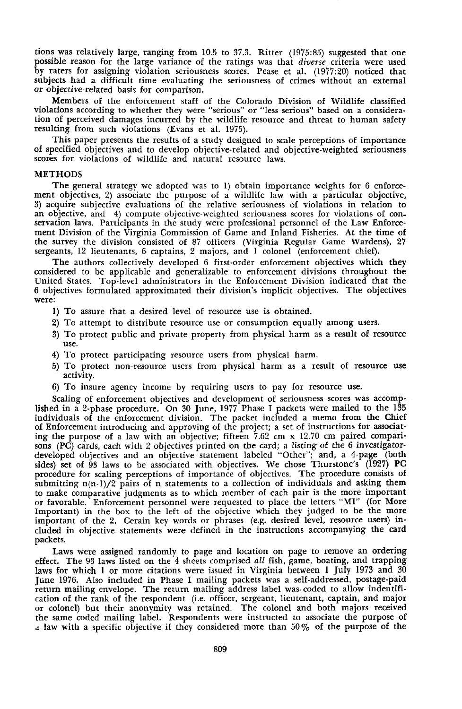tions was relatively large, ranging from 10.5 to 37.3. Ritter (1975:85) suggested that one possible reason for the large variance of the ratings was that *diverse* criteria were used by raters for assigning violation seriousness scores. Pease et al. (1977:20) noticed that subjects had a difficult time evaluating the seriousness of crimes without an external or objective-related basis for comparison.

Members of the enforcement staff of the Colorado Division of Wildlife classified violations according to whether they were "serious" or "less serious" based on a consideration of perceived damages incurred by the wildlife resource and threat to human safety resulting from such violations (Evans et al. 1975).

This paper presents the results of a study designed to scale perceptions of importance of specified objectives and to develop objective-related and objective-weighted seriousness scores for violations of wildlife and natural resource laws.

#### METHODS

The general strategy we adopted was to I) obtain importance weights for 6 enforcement objectives, 2) associate the purpose of a wildlife law with a particular objective, 3) acquire subjective evaluations of the relative seriousness of violations in relation to an objective, and 4) compute objective-weighted seriousness scores for violations of con\_ servation laws. Participants in the study were professional personnel of the Law Enforcement Division of the Virginia Commission of Game and Inland Fisheries. At the time of the survey the division consisted of 87 officers (Virginia Regular Game Wardens), 27 sergeants, 12 lieutenants, 6 captains, 2 majors, and I colonel (enforcement chief).

The authors collectively developed 6 first-order enforcement objectives which they considered to be applicable and generalizable to enforcement divisions throughout the United States. Top-level administrators in the Enforoement Division indicated that the 6 objectives formulated approximated their division's implicit objectives. The objectives were:

- 1) To assure that a desired level of resource use is obtained.
- 2) To attempt to distribute resource use or consumption equally among users.
- 3) To protect public and private property from physical harm as a result of resource use.
- 4) To protect participating resource users from physical harm.
- 5) To protect non-resource users from physical harm as a result of resource use activity.
- 6) To insure agency income by requiring users to pay for resource use.

Scaling of enforcement objectives and development of seriousness scores was accomplished in a 2-phase procedure. On 30 June, 1977 Phase I packets were mailed to the 135 individuals of the enforcement division. The packet included a memo from the Chief of Enforcement introducing and approving of the project; a set of instructions for associating the purpose of a law with an objective; fifteen  $7.62 \text{ cm} \times 12.70 \text{ cm}$  paired comparisons (PC) cards, each with 2 objectives printed on the card; a listing of the 6 investigatordeveloped objectives and an objective statement labeled "Other"; and, a 4-page (both sides) set of  $\tilde{9}3$  laws to be associated with objectives. We chose Thurstone's (1927) PC procedure for scaling perceptions of importance of objectives. The procedure consists of submitting  $n(n-1)/2$  pairs of n statements to a collection of individuals and asking them to make comparative judgments as to which member of each pair is the more important or favorable. Enforcement personnel were requested to place the letters "MI" (for More Important) in the box to the left of the objective which they judged to be the more important of the 2. Cerain key words or phrases (e.g. desired level, resource users) included in objective statements were defined in the instructions accompanying the card packets.

Laws were assigned randomly to page and location on page to remove an ordering effect. The 93 laws listed on the 4 sheets comprised *all* fish, game, boating, and trapping laws for which 1 or more citations were issued in Virginia between 1 July 1973 and 30 June 1976. Also included in Phase I mailing packets was a self-addressed, postage-paid return mailing envelope. The return mailing address label was· coded to allow indentification of the rank of the respondent (i.e. officer, sergeant, lieutenant, captain, and major or colonel) but their anonymity was retained. The colonel and both majors received the same coded mailing label. Respondents were instructed to associate the purpose of a law with a specific objective if they considered more than  $50\%$  of the purpose of the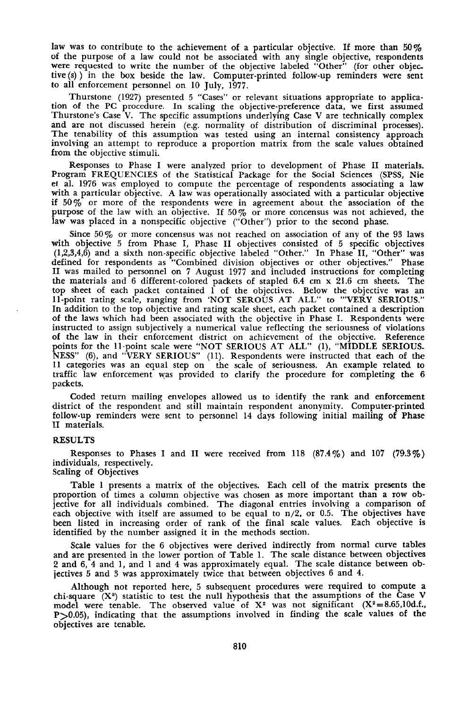law was to contribute to the achievement of a particular objective. If more than  $50\%$ of the purpose of a law could not be associated with any single objective, respondents were requested to write the number of the objective labeled "Other" (for other objec\_ tive  $(s)$  in the box beside the law. Computer-printed follow-up reminders were sent to all enforcement personnel on 10 July, 1977.

Thurstone (1927) presented 5 "Cases" or relevant situations appropriate to application of the PC procedure. In scaling the objective-preference data, we first assumed Thurstone's Case V. The specific assumptions underlying Case V are technically complex and are not discussed herein (e.g. normality of distribution of discriminal processes). The tenability of this assumption was tested using an internal consistency approach involving an attempt to reproduce a proportion matrix from the scale values obtained from the objective stimuli.

Responses to Phase I were analyzed prior to development of Phase II materials. Program FREQUENCIES of the Statistical Package for the Social Sciences (SPSS, Nie ef. al. 1976 was employed to compute the percentage of respondents associating a law with a particular objective. A law was operationally associated with a particular objective if 50% or more of the respondents were in agreement about the association of the purpose of the law with an objective. If 50 % or more conoensus was not achieved, the law was placed in a nonspecific objective ("Other") prior to the second phase.

Since  $50\%$  or more concensus was not reached on association of any of the 93 laws with objective 5 from Phase I, Phase II objectives consisted of 5 specific objectives  $(1,2,3,4,6)$  and a sixth non-specific objective labeled "Other." In Phase II, "Other" was defined for respondents as "Combined division objectives or other objectives." Phase II was mailed to personnel on 7 August 1977 and included instructions for completing the materials and 6 different-colored packets of stapled 6.4 em x 21.6 em sheets. The top sheet of each packet contained 1 of the objectives. Below the objective was an 11-point rating scale, ranging from 'NOT SEROUS AT ALL" to "'VERY SERIOUS." In addition to the top objective and rating scale sheet, each packet contained a description of the laws which had been associated with the objective in Phase 1. Respondents were instructed to assign subjectively a numerical value reflecting the seriousness of violations of the law in their enforcement district on achievement of the objective. Reference points for the l1'point scale were "NOT SERIOUS AT ALL" (I), "MIDDLE SERIOUS\_ NESS" (6), and "VERY SERIOUS" (11). Respondents were instructed that each of the 11 categories was an equal step on the scale of seriousness. An example related to traffic law enforcement was provided to clarify the procedure for completing the 6 packets.

Coded return mailing envelopes allowed us to identify the rank and enforcement district of the respondent and still maintain respondent anonymity. Computer-printed follow-up reminders were sent to personnel 14 days following initial mailing of Phase II materials.

### RESULTS

Responses to Phases I and II were received from 118  $(87.4\%)$  and 107  $(79.3\%)$ individuals, respectively.

Scaling of Objectives

Table 1 presents a matrix of the objectives. Each cell of the matrix presents the proportion of times a column objective was chosen as more important than a row ob· jective for all individuals combined. The diagonal entries involving a comparison of each objective with itself are assumed to be equal to n/2, or 0.5. The objectives have been listed in increasing order of rank of the final scale values. Each objective is identified by the number assigned it in the methods section.

Scale values for the 6 objectives were derived indirectly from normal curve tables and are presented in the lower portion of Table I. The scale distance between objectives 2 and 6, 4 and I, and 1 and 4 was approximately equal. The scale distance between objectives 5 and 3 was approximately twice that between objectives 6 and 4.

Although not reported here, 5 subsequent procedures were required to compute a chi-square  $(X^2)$  statistic to test the null hypothesis that the assumptions of the Case V model were tenable. The observed value of  $X^2$  was not significant  $(X^2 = 8.65, 10d.f.,$ P>0.05), indicating that the assumptions involved in finding the scale values of the objectives are tenable.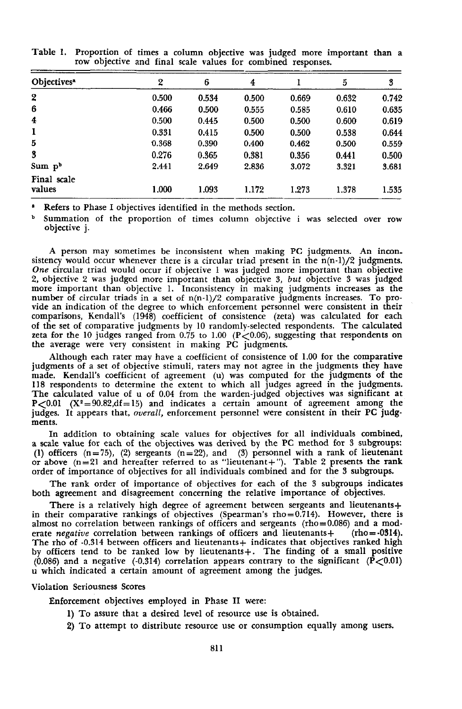| 2     | 6     | 4     |       | 5     | 3     |
|-------|-------|-------|-------|-------|-------|
| 0.500 | 0.534 | 0.500 | 0.669 | 0.632 | 0.742 |
| 0.466 | 0.500 | 0.555 | 0.585 | 0.610 | 0.635 |
| 0.500 | 0.445 | 0.500 | 0.500 | 0.600 | 0.619 |
| 0.331 | 0.415 | 0.500 | 0.500 | 0.538 | 0.644 |
| 0.368 | 0.390 | 0.400 | 0.462 | 0.500 | 0.559 |
| 0.276 | 0.365 | 0.381 | 0.356 | 0.441 | 0.500 |
| 2.441 | 2.649 | 2.836 | 3.072 | 3.321 | 3.681 |
| 1.000 | 1.093 | 1.172 | 1.273 | 1.378 | 1.535 |
|       |       |       |       |       |       |

Table 1. Proportion of times a column objective was judged more important than a row objective and final scale values for combined responses.

Refers to Phase I objectives identified in the methods section.

<sup>b</sup> Summation of the proportion of times column objective <sup>i</sup> was selected over row objective j.

A person may sometimes be inconsistent when making PC judgments. An incon\_ sistency would occur whenever there is a circular triad present in the  $n(n-1)/2$  judgments. *One* circular triad would occur if objective 1 was judged more important than objective 2, objective 2 was judged more important than objective 3, *but* objective 3 was judged more important than objective 1. Inconsistency in making judgments increases as the number of circular triads in a set of  $n(n-1)/2$  comparative judgments increases. To provide an indication of the degree to which enforcement personnel were consistent in their comparisons, Kendall's (1948) coefficient of consistence (zeta) was calculated for each of the set of comparative judgments by 10 randomly-selected respondents. The calculated zeta for the 10 judges ranged from  $0.75$  to 1.00 (P $<$ 0.06), suggesting that respondents on the average were very consistent in making PC judgments.

Although each rater may have a coefficient of consistence of 1.00 for the comparative judgments of a set of objective stimuli, raters may not agree in the judgments they have made. Kendall's coefficient of agreement (u) was computed for the judgments of the 118 respondents to determine the extent to which all judges agreed in the judgments. The calculated value of u of 0.04 from the warden-judged objectives was significant at  $P<0.01$  (X<sup>2</sup>=90.82,df=15) and indicates a certain amount of agreement among the judges. It appears that, *overall,* enforcement personnel were consistent in their PC judgments.

In addition to obtaining scale values for objectives for all individuals combined, a scale value for each of the objectives was derived by the PC method for 3 subgroups: (1) officers  $(n=75)$ , (2) sergeants  $(n=22)$ , and (3) personnel with a rank of lieutenant or above  $(n=21)$  and hereafter referred to as "lieutenant+"). Table 2 presents the rank order of importance of objectives for all individuals combined and for the 3 subgroups.

The rank order of importance of objectives for each of the 3 subgroups indicates both agreement and disagreement concerning the relative importance of objectives.

There is a relatively high degree of agreement between sergeants and lieutenants+ in their comparative rankings of objectives (Spearman's rho=0.714). However, there is<br>almost no correlation between rankings of officers and sergeants (rho=0.086) and a moderate *negative* correlation between rankings of officers and lieutenants+ (rho=-0314). The rho of -0.314 between officers and lieutenants + indicates that objectives ranked high by officers tend to be ranked low by lieutenants+. The finding of a small positive (0.086) and a negative (-0.314) correlation appears contrary to the significant ( $\bar{P}$ <0.01) u which indicated a certain amount of agreement among the judges.

#### Violation Seriousness Scores

Enforcement objectives employed in Phase II were:

- 1) To assure that a desired level of resource use is obtained.
- 2) To attempt to distribute resource use or consumption equally among users.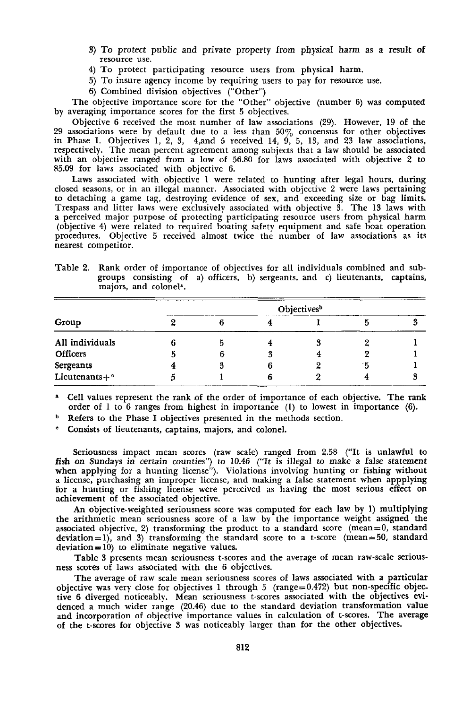- 3) To protect public and private property from physical harm as a result of resource use.
- 4) To protect participating resource users from physical harm.
- 5) To insure agency income by requiring users to pay for resource use.
- 6) Combined division objectives ("Other")

The objective importance score for the "Other" objective (number 6) was computed by averaging importance scores for the first 5 objectives.

Objective  $6$  received the most number of law associations  $(29)$ . However, 19 of the 29 associations were by default due to a less than 50% concensus for other objectives in Phase I. Objectives 1, 2, 3, 4,and 5 received 14, 9, 5, 13, and 23 law associations, respectively. The mean percent agreement among subjects that a law should be associated with an objective ranged from a low of 56.80 for laws associated with objective 2 to 85.09 for laws associated with objective 6.

Laws associated with objective 1 were related to hunting after legal hours, during closed seasons, or in an illegal manner. Associated with objective 2 were laws pertaining to detaching a game tag, destroying evidence of sex, and exceeding size or bag limits. Trespass and litter laws were exclusively associated with objective 3. The 13 laws with a perceived major purpose of protecting participating resource users from physical harm (objective 4) were related to required boating safety equipment and safe boat operation procedures. Objective 5 received almost twice the number of law associations as its nearest competitor.

Table 2. Rank order of importance of objectives for all individuals combined and subgroups consisting of a) officers, b) sergeants, and c) lieutenants, captains, majors, and colonel'.

| Group                | Objectives <sup>b</sup> |  |  |  |  |  |  |
|----------------------|-------------------------|--|--|--|--|--|--|
|                      |                         |  |  |  |  |  |  |
| All individuals      |                         |  |  |  |  |  |  |
| <b>Officers</b>      |                         |  |  |  |  |  |  |
| Sergeants            |                         |  |  |  |  |  |  |
| Lieutenants+ $\circ$ |                         |  |  |  |  |  |  |

<sup>a</sup> Cell values represent the rank of the order of importance of each objective. The rank order of I to 6 ranges from highest in importance (I) to lowest in importance (6).

**b** Refers to the Phase I objectives presented in the methods section.

Consists of lieutenants, captains, majors, and colonel.

Seriousness impact mean scores (raw scale) ranged from 2.58 ("It is unlawful to fish on Sundays in certain counties") to 10.46 ("It is illegal to make a false statement when applying for a hunting license"). Violations involving hunting or fishing without a license, purchasing an improper license, and making a false statement when appplying for a hunting or fishing license were perceived as having the most serious effect on achievement of the associated objective.

An objective-weighted seriousness score was computed for each law by 1) multiplying the arithmetic mean seriousness score of a law by the importance weight assigned the associated objective, 2) transforming the product to a standard score (mean= $0$ , standard deviation = 1), and 3) transforming the standard score to a t-score (mean=50, standard  $deviation = 10$ ) to eliminate negative values.

Table 3 presents mean seriousness t-scores and the average of mean raw-scale seriousness scores of laws associated with the 6 objectives.

The average of raw scale mean seriousness scores of laws associated with a particular objective was very close for objectives 1 through 5 (range=0.472) but non-specific objective 6 diverged notioeably. Mean seriousness t-scores associated with the objectives evidenced a much wider range (20.46) due to the standard deviation transformation value and incorporation of objective importance values in calculation of t-scores. The average of the t-scores for objective 3 was noticeably larger than for the other objectives.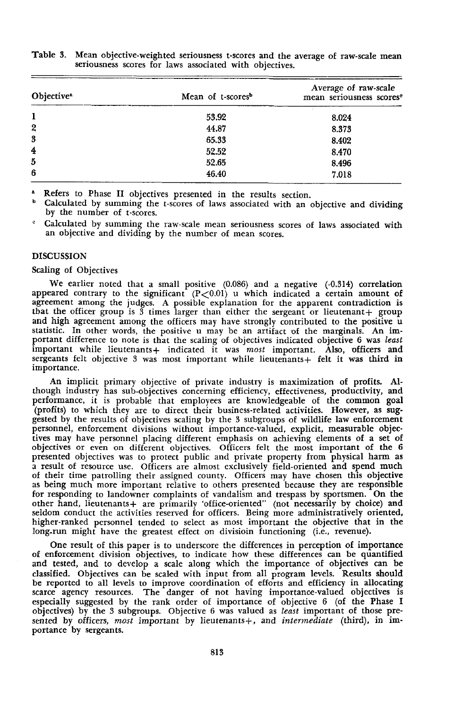| Objective <sup>a</sup> | Mean of t-scores <sup>b</sup> | Average of raw-scale<br>mean seriousness scores <sup>e</sup> |  |  |
|------------------------|-------------------------------|--------------------------------------------------------------|--|--|
| 1                      | 53.92                         | 8.024                                                        |  |  |
| $\overline{2}$         | 44.87                         | 8.373                                                        |  |  |
| 3                      | 65.33                         | 8.402                                                        |  |  |
| 4                      | 52.52                         | 8.470                                                        |  |  |
| 5                      | 52.65                         | 8.496                                                        |  |  |
| 6                      | 46.40                         | 7.018                                                        |  |  |

Table 3. Mean objective-weighted seriousness t-scores and the average of raw-scale mean seriousness scores for laws associated with objectives.

Refers to Phase II objectives presented in the results section.

Calculated by summing the t-scores of laws associated with an objective and dividing by the number of t-scores.

Calculated by summing the raw-scale mean seriousness scores of laws associated with an objective and dividing by the number of mean scores.

## DISCUSSION

#### Scaling of Objectives

We earlier noted that a small positive (0.086) and a negative (-0.314) correlation appeared contrary to the significant  $(P<0.01)$  u which indicated a certain amount of agreement among the judges. A possible explanation for the apparent contradiction is that the officer group is  $\tilde{3}$  times larger than either the sergeant or lieutenant + group and high agreement among the offioers may have strongly contributed to the positive u statistic. In other words, the positive u may be an artifact of the marginals. An important difference to note is that the scaling of objectives indicated objective 6 was *least* important while lieutenants+ indicated it was *most* important. Also, officers and sergeants felt objective 3 was most important while lieutenants + felt it was third in importance.

An implicit primary objective of private industry is maximization of profits. Although industry has sub-objectives concerning efficiency, effectiveness, productivity, and performance, it is probable that employees are knowledgeable of the common goal (profits) to which they are to direct their business-related activities. However, as suggested by the results of objectives scaling by the 3 subgroups of wildlife law enforcement personnel, enforcement divisions without importance-valued, explicit, measurable objectives may have personnel placing different emphasis on achieving elements of a set of objectives or even on different objectives. Officers felt the most important of the 6 presented objectives was to protect public and private property from physical harm as a result of resource use. Officers are almost exclusively field-oriented and spend much of their time patrolling their assigned county. Officers may have chosen this objective as being much more important relative to others presented because they are responsible for responding to landowner complaints of vandalism and trespass by sportsmen. On the other hand, lieutenants+ are primarily 'office-oriented" (not necessarily by choice) and seldom conduct the activities reserved for officers. Being more administratively oriented, higher-ranked personnel tended to select as most important the objective that in the long-run might have the greatest effect on divisioin functioning (i.e., revenue).

One result of this paper is to underscore the differences in perception of importance of enforcement division objectives, to indicate how these differences can be quantified and tested, and to develop a scale along which the importance of objectives can be classified. Objectives can be scaled with input from all program levels. Results should be reported to all levels to improve coordination of efforts and efficiency in allocating scarce agency resources. The danger of not having importance-valued objectives is especially suggested by the rank order of importance of objective 6 (of the Phase I Objectives) by the 3 subgroups. Objective 6 was valued as *least* important of those presented by officers, *most* important by lieutenants+, and *intermediate* (third), in importance by sergeants.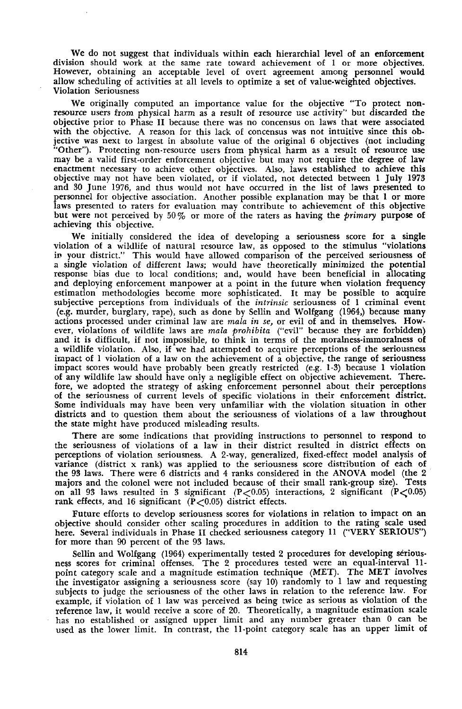We do not suggest that individuals within each hierarchial level of an enforcement division should work at the same rate toward achievement of I or more objectives. However, obtaining an acceptable level of overt agreement among personnel would allow scheduling of activities at all levels to optimize a set of value-weighted objectives. Violation Seriousness

We originally computed an importance value for the objective "To protect non· resource users from physical harm as a result of resource use activity" but discarded the objective prior to Phase 11 because there was no concensus on laws that were associated with the objective. A reason for this lack of concensus was not intuitive since this objective was next to largest in absolute value of the original 6 objectives (not including "Other"). Protecting non-resource users from physical harm as a result of resource use may be a valid first-order enforcement objective but may not require the degree of law enactment necessary to achieve other objectives. Also, laws established to achieve this objective may not have been violated, or if violated, not detected between I July 1973 and 30 June 1976, and thus would not have occurred in the list of laws presented to personnel for objective association. Another possible explanation may be that 1 or more laws presented to raters for evaluation may contribute to achievement of this objective but were not perceived by 50% or more of the raters as having the *primary* purpose of achieving this objective.

We initially considered the idea of developing a seriousness score for a single violation of a wildlife of natural resource law, as opposed to the stimulus "violations in your district." This would have allowed comparison of the perceived seriousness of a single violation of different laws; would have theoretically minimized the potential response bias due to local conditions; and, would have been beneficial in allocating and deploying enforcement manpower at a point in the future when violation frequency estimation methodologies become more sophisticated. It may be possible to acquire subjective perceptions from individuals of the *intrinsic* seriousness of I criminal event (e.g. murder, burglary, rape), such as done by Sellin and Wolfgang (1964,) because many actions processed under criminal law are *mala in se,* or evil of and in themselves. However, violations of wildlife laws are *mala prohibita* ("evil" because they are forbidden) and it is difficult, if not impossible, to think in terms of the moralness-immoralness of a wildlife violation. Also, if we had attempted to acquire perceptions of the seriousness impact of 1 violation of a law on the achievement of a objective, the range of seriousness impact scores would have probably been greatly restricted (e.g. 1-3) because I violation of any wildlife law should have only a negligible effect on objective achievement. There. fore, we adopted the strategy of asking enforcement personnel about their perceptions of the seriousness of current levels of specific violations in their enforcement district. Some individuals may have been very unfamiliar with the violation situation in other districts and to question them about the seriousness of violations of a law throughout the state might have produced misleading results.

There are some indications that providing instructions to personnel to respond to the seriousness of violations of a law in their district resulted in district effects on perceptions of violation seriousness. A 2-way, generalized, fixed-effect model analysis of variance (district x rank) was applied to the seriousness score distribution of each of the 93 laws. There were 6 districts and 4 ranks considered in the ANOVA model (the 2<br>maiors and the colonel were not included because of their small rank-group size). Tests majors and the colonel were not included because of their small rank-group size). on all 93 laws resulted in 3 significant  $(P<0.05)$  interactions, 2 significant  $(P<0.05)$ rank effects, and 16 significant  $(P<0.05)$  district effects.

Future efforts to develop seriousness scores for violations in relation to impact on an objective should consider other scaling procedures in addition to the rating scale used here. Several individuals in Phase 11 checked seriousness category 11 ("VERY SERIOUS") for more than 90 percent of the 93 laws.

Sellin and Wolfgang (1964) experimentally tested 2 procedures for developing seriousness scores for criminal offenses. The 2 procedures tested were an equal-interval 11 point category scale and a magnitude estimation technique (MET). The MET involves the investigator assigning a seriousness score (say 10) randomly to 1 law and requesting subjects to judge the seriousness of the other laws in relation to the reference law. For example, if violation of 1 law was perceived as being twice as serious as violation of the reference law, it would receive a score of 20. Theoretically, a magnitude estimation scale<br>has no established or assigned upper limit and any number greater than 0 can be has no established or assigned upper limit and any number greater than 0 can be used as the lower limit. In contrast, the 11-point category scale has an upper limit of